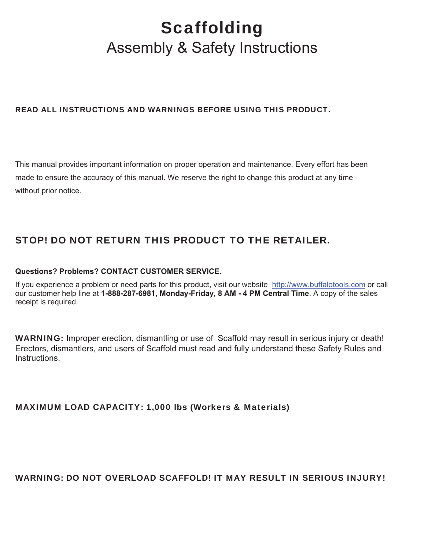# **Scaffolding** Assembly & Safety Instructions

# READ ALL INSTRUCTIONS AND WARNINGS BEFORE USING THIS PRODUCT.

This manual provides important information on proper operation and maintenance. Every effort has been made to ensure the accuracy of this manual. We reserve the right to change this product at any time without prior notice.

# STOP! DO NOT RETURN THIS PRODUCT TO THE RETAILER.

## **Questions? Problems? CONTACT CUSTOMER SERVICE.**

If you experience a problem or need parts for this product, visit our website http://www.buffalotools.com or call our customer help line at **1-888-287-6981, Monday-Friday, 8 AM - 4 PM Central Time**. A copy of the sales receipt is required.

WARNING: Improper erection, dismantling or use of Scaffold may result in serious injury or death! Erectors, dismantlers, and users of Scaffold must read and fully understand these Safety Rules and **Instructions** 

## MAXIMUM LOAD CAPACITY: 1,000 lbs (Workers & Materials)

## WARNING: DO NOT OVERLOAD SCAFFOLD! IT MAY RESULT IN SERIOUS INJURY!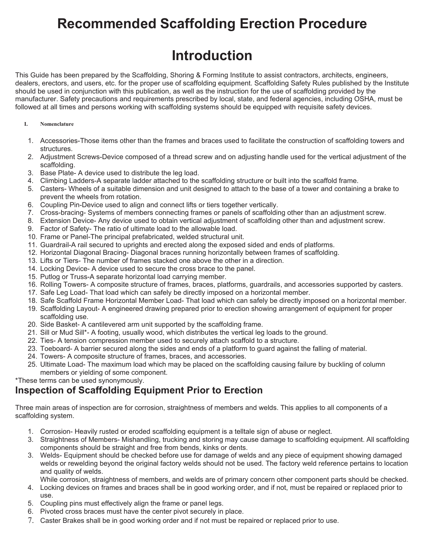# **Recommended Scaffolding Erection Procedure**

# **Introduction**

This Guide has been prepared by the Scaffolding, Shoring & Forming Institute to assist contractors, architects, engineers, dealers, erectors, and users, etc. for the proper use of scaffolding equipment. Scaffolding Safety Rules published by the Institute should be used in conjunction with this publication, as well as the instruction for the use of scaffolding provided by the manufacturer. Safety precautions and requirements prescribed by local, state, and federal agencies, including OSHA, must be followed at all times and persons working with scaffolding systems should be equipped with requisite safety devices.

### **I. Nomenclature**

- 1. Accessories-Those items other than the frames and braces used to facilitate the construction of scaffolding towers and structures.
- 2. Adjustment Screws-Device composed of a thread screw and on adjusting handle used for the vertical adjustment of the scaffolding.
- 3. Base Plate- A device used to distribute the leg load.
- 4. Climbing Ladders-A separate ladder attached to the scaffolding structure or built into the scaffold frame.
- 5. Casters- Wheels of a suitable dimension and unit designed to attach to the base of a tower and containing a brake to prevent the wheels from rotation.
- 6. Coupling Pin-Device used to align and connect lifts or tiers together vertically.
- 7. Cross-bracing- Systems of members connecting frames or panels of scaffolding other than an adjustment screw.
- 8. Extension Device- Any device used to obtain vertical adjustment of scaffolding other than and adjustment screw.
- 9. Factor of Safety- The ratio of ultimate load to the allowable load.
- 10. Frame or Panel-The principal prefabricated, welded structural unit.
- 11. Guardrail-A rail secured to uprights and erected along the exposed sided and ends of platforms.
- 12. Horizontal Diagonal Bracing- Diagonal braces running horizontally between frames of scaffolding.
- 13. Lifts or Tiers- The number of frames stacked one above the other in a direction.
- 14. Locking Device- A device used to secure the cross brace to the panel.
- 15. Putlog or Truss-A separate horizontal load carrying member.
- 16. Rolling Towers- A composite structure of frames, braces, platforms, guardrails, and accessories supported by casters.
- 17. Safe Leg Load- That load which can safely be directly imposed on a horizontal member.
- 18. Safe Scaffold Frame Horizontal Member Load- That load which can safely be directly imposed on a horizontal member.
- 19. Scaffolding Layout- A engineered drawing prepared prior to erection showing arrangement of equipment for proper scaffolding use.
- 20. Side Basket- A cantilevered arm unit supported by the scaffolding frame.
- 21. Sill or Mud Sill\*- A footing, usually wood, which distributes the vertical leg loads to the ground.
- 22. Ties- A tension compression member used to securely attach scaffold to a structure.
- 23. Toeboard- A barrier secured along the sides and ends of a platform to guard against the falling of material.
- 24. Towers- A composite structure of frames, braces, and accessories.
- 25. Ultimate Load- The maximum load which may be placed on the scaffolding causing failure by buckling of column members or yielding of some component.

\*These terms can be used synonymously.

# **Inspection of Scaffolding Equipment Prior to Erection**

Three main areas of inspection are for corrosion, straightness of members and welds. This applies to all components of a scaffolding system.

- 1. Corrosion- Heavily rusted or eroded scaffolding equipment is a telltale sign of abuse or neglect.
- 3. Straightness of Members- Mishandling, trucking and storing may cause damage to scaffolding equipment. All scaffolding components should be straight and free from bends, kinks or dents.
- 3. Welds- Equipment should be checked before use for damage of welds and any piece of equipment showing damaged welds or rewelding beyond the original factory welds should not be used. The factory weld reference pertains to location and quality of welds.
- While corrosion, straightness of members, and welds are of primary concern other component parts should be checked. 4. Locking devices on frames and braces shall be in good working order, and if not, must be repaired or replaced prior to use.
- 5. Coupling pins must effectively align the frame or panel legs.
- 6. Pivoted cross braces must have the center pivot securely in place.
- 7. Caster Brakes shall be in good working order and if not must be repaired or replaced prior to use.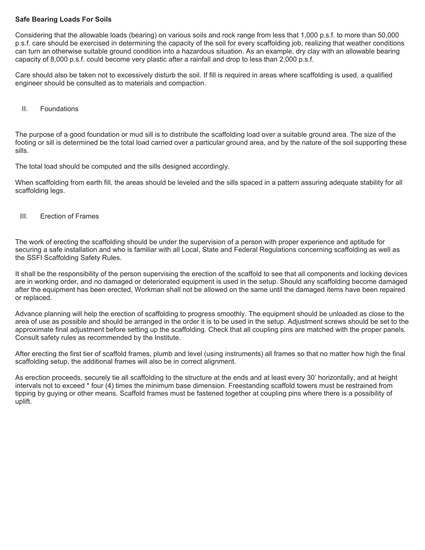### **Safe Bearing Loads For Soils**

Considering that the allowable loads (bearing) on various soils and rock range from less that 1,000 p.s.f. to more than 50,000 p.s.f. care should be exercised in determining the capacity of the soil for every scaffolding job, realizing that weather conditions can turn an otherwise suitable ground condition into a hazardous situation. As an example, dry clay with an allowable bearing capacity of 8,000 p.s.f. could become very plastic after a rainfall and drop to less than 2,000 p.s.f.

Care should also be taken not to excessively disturb the soil. If fill is required in areas where scaffolding is used, a qualified engineer should be consulted as to materials and compaction.

II. Foundations

The purpose of a good foundation or mud sill is to distribute the scaffolding load over a suitable ground area. The size of the footing or sill is determined be the total load carried over a particular ground area, and by the nature of the soil supporting these sills.

The total load should be computed and the sills designed accordingly.

When scaffolding from earth fill, the areas should be leveled and the sills spaced in a pattern assuring adequate stability for all scaffolding legs.

III. Erection of Frames

The work of erecting the scaffolding should be under the supervision of a person with proper experience and aptitude for securing a safe installation and who is familiar with all Local, State and Federal Regulations concerning scaffolding as well as the SSFI Scaffolding Safety Rules.

It shall be the responsibility of the person supervising the erection of the scaffold to see that all components and locking devices are in working order, and no damaged or deteriorated equipment is used in the setup. Should any scaffolding become damaged after the equipment has been erected, Workman shall not be allowed on the same until the damaged items have been repaired or replaced.

Advance planning will help the erection of scaffolding to progress smoothly. The equipment should be unloaded as close to the area of use as possible and should be arranged in the order it is to be used in the setup. Adjustment screws should be set to the approximate final adjustment before setting up the scaffolding. Check that all coupling pins are matched with the proper panels. Consult safety rules as recommended by the Institute.

After erecting the first tier of scaffold frames, plumb and level (using instruments) all frames so that no matter how high the final scaffolding setup, the additional frames will also be in correct alignment.

As erection proceeds, securely tie all scaffolding to the structure at the ends and at least every 30' horizontally, and at height intervals not to exceed \* four (4) times the minimum base dimension. Freestanding scaffold towers must be restrained from tipping by guying or other means. Scaffold frames must be fastened together at coupling pins where there is a possibility of uplift.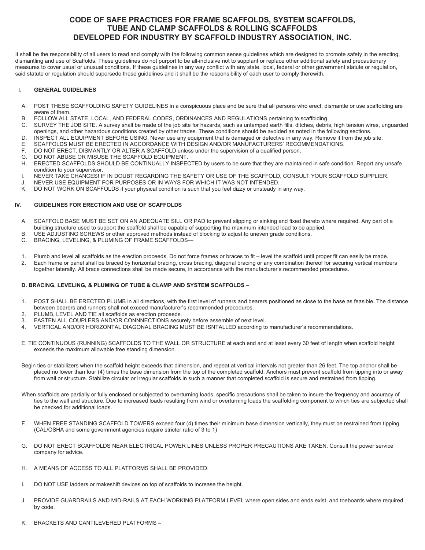### **CODE OF SAFE PRACTICES FOR FRAME SCAFFOLDS, SYSTEM SCAFFOLDS, TUBE AND CLAMP SCAFFOLDS & ROLLING SCAFFOLDS DEVELOPED FOR INDUSTRY BY SCAFFOLD INDUSTRY ASSOCIATION, INC.**

It shall be the responsibility of all users to read and comply with the following common sense guidelines which are designed to promote safety in the erecting, dismantling and use of Scaffolds. These guidelines do not purport to be all-inclusive not to supplant or replace other additional safety and precautionary measures to cover usual or unusual conditions. If these guidelines in any way conflict with any state, local, federal or other government statute or regulation, said statute or regulation should supersede these guidelines and it shall be the responsibility of each user to comply therewith.

### I. **GENERAL GUIDELINES**

- A. POST THESE SCAFFOLDING SAFETY GUIDELINES in a conspicuous place and be sure that all persons who erect, dismantle or use scaffolding are aware of them.
- B. FOLLOW ALL STATE, LOCAL, AND FEDERAL CODES, ORDINANCES AND REGULATIONS pertaining to scaffolding.
- C. SURVEY THE JOB SITE. A survey shall be made of the job site for hazards, such as untamped earth fills, ditches, debris, high tension wires, unguarded openings, and other hazardous conditions created by other trades. These conditions should be avoided as noted in the following sections.
- D. INSPECT ALL EQUIPMENT BEFORE USING. Never use any equipment that is damaged or defective in any way. Remove it from the job site.
- E. SCAFFOLDS MUST BE ERECTED IN ACCORDANCE WITH DESIGN AND/OR MANUFACTURERS' RECOMMENDATIONS.
- F. DO NOT ERECT, DISMANTLY OR ALTER A SCAFFOLD unless under the supervision of a qualified person.
- G. DO NOT ABUSE OR MISUSE THE SCAFFOLD EQUIPMENT.
- H. ERECTED SCAFFOLDS SHOULD BE CONTINUALLY INSPECTED by users to be sure that they are maintained in safe condition. Report any unsafe condition to your supervisor.
- I. NEVER TAKE CHANCES! IF IN DOUBT REGARDING THE SAFETY OR USE OF THE SCAFFOLD, CONSULT YOUR SCAFFOLD SUPPLIER.
- J. NEVER USE EQUIPMENT FOR PURPOSES OR IN WAYS FOR WHICH IT WAS NOT INTENDED.
- K. DO NOT WORK ON SCAFFOLDS if your physical condition is such that you feel dizzy or unsteady in any way.

### **IV. GUIDELINES FOR ERECTION AND USE OF SCAFFOLDS**

- A. SCAFFOLD BASE MUST BE SET ON AN ADEQUATE SILL OR PAD to prevent slipping or sinking and fixed thereto where required. Any part of a building structure used to support the scaffold shall be capable of supporting the maximum intended load to be applied.
- B. USE ADJUSTING SCREWS or other approved methods instead of blocking to adjust to uneven grade conditions.
- C. BRACING, LEVELING, & PLUMING OF FRAME SCAFFOLDS—
- 1. Plumb and level all scaffolds as the erection proceeds. Do not force frames or braces to fit level the scaffold until proper fit can easily be made.<br>2. Each frame or panel shall be braced by borizontal bracing, cross

2. Each frame or panel shall be braced by horizontal bracing, cross bracing, diagonal bracing or any combination thereof for securing vertical members together laterally. All brace connections shall be made secure, in accordance with the manufacturer's recommended procedures.

### **D. BRACING, LEVELING, & PLUMING OF TUBE & CLAMP AND SYSTEM SCAFFOLDS –**

- 1. POST SHALL BE ERECTED PLUMB in all directions, with the first level of runners and bearers positioned as close to the base as feasible. The distance between bearers and runners shall not exceed manufacturer's recommended procedures.
- 2. PLUMB, LEVEL AND TIE all scaffolds as erection proceeds.
- 3. FASTEN ALL COUPLERS AND/OR CONNNECTIONS securely before assemble of next level.
- 4. VERTICAL AND/OR HORIZONTAL DIAGONAL BRACING MUST BE ISNTALLED according to manufacturer's recommendations.
- E. TIE CONTINUOUS (RUNNING) SCAFFOLDS TO THE WALL OR STRUCTURE at each end and at least every 30 feet of length when scaffold height exceeds the maximum allowable free standing dimension.
- Begin ties or stabilizers when the scaffold height exceeds that dimension, and repeat at vertical intervals not greater than 26 feet. The top anchor shall be placed no lower than four (4) times the base dimension from the top of the completed scaffold. Anchors must prevent scaffold from tipping into or away from wall or structure. Stabilize circular or irregular scaffolds in such a manner that completed scaffold is secure and restrained from tipping.
- When scaffolds are partially or fully enclosed or subjected to overturning loads, specific precautions shall be taken to insure the frequency and accuracy of ties to the wall and structure. Due to increased loads resulting from wind or overturning loads the scaffolding component to which ties are subjected shall be checked for additional loads.
- F. WHEN FREE STANDING SCAFFOLD TOWERS exceed four (4) times their minimum base dimension vertically, they must be restrained from tipping. (CAL/OSHA and some government agencies require stricter ratio of 3 to 1)
- G. DO NOT ERECT SCAFFOLDS NEAR ELECTRICAL POWER LINES UNLESS PROPER PRECAUTIONS ARE TAKEN. Consult the power service company for advice.
- H. A MEANS OF ACCESS TO ALL PLATFORMS SHALL BE PROVIDED.
- I. DO NOT USE ladders or makeshift devices on top of scaffolds to increase the height.
- J. PROVIDE GUARDRAILS AND MID-RAILS AT EACH WORKING PLATFORM LEVEL where open sides and ends exist, and toeboards where required by code.
- K. BRACKETS AND CANTILEVERED PLATFORMS –